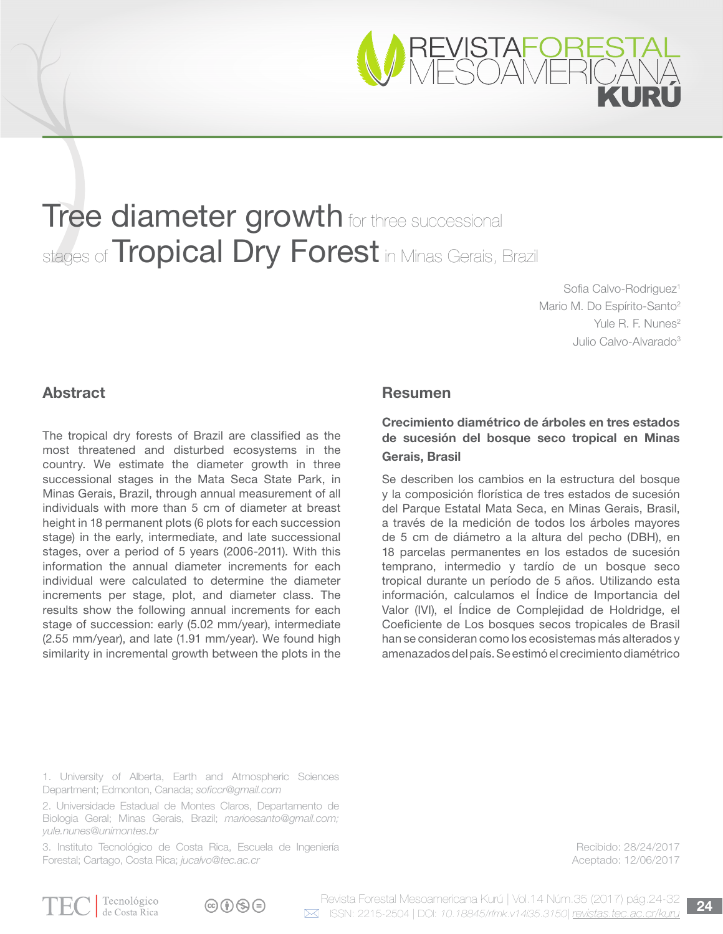

# **Tree diameter growth** for three successional stages of **Tropical Dry Forest** in Minas Gerais, Brazil

Sofia Calvo-Rodriguez<sup>1</sup> Mario M. Do Espírito-Santo<sup>2</sup> Yule R. F. Nunes<sup>2</sup> Julio Calvo-Alvarado3

# **Abstract**

The tropical dry forests of Brazil are classified as the most threatened and disturbed ecosystems in the country. We estimate the diameter growth in three successional stages in the Mata Seca State Park, in Minas Gerais, Brazil, through annual measurement of all individuals with more than 5 cm of diameter at breast height in 18 permanent plots (6 plots for each succession stage) in the early, intermediate, and late successional stages, over a period of 5 years (2006-2011). With this information the annual diameter increments for each individual were calculated to determine the diameter increments per stage, plot, and diameter class. The results show the following annual increments for each stage of succession: early (5.02 mm/year), intermediate (2.55 mm/year), and late (1.91 mm/year). We found high similarity in incremental growth between the plots in the

### Resumen

# Crecimiento diamétrico de árboles en tres estados de sucesión del bosque seco tropical en Minas Gerais, Brasil

Se describen los cambios en la estructura del bosque y la composición florística de tres estados de sucesión del Parque Estatal Mata Seca, en Minas Gerais, Brasil, a través de la medición de todos los árboles mayores de 5 cm de diámetro a la altura del pecho (DBH), en 18 parcelas permanentes en los estados de sucesión temprano, intermedio y tardío de un bosque seco tropical durante un período de 5 años. Utilizando esta información, calculamos el Índice de Importancia del Valor (IVI), el Índice de Complejidad de Holdridge, el Coeficiente de Los bosques secos tropicales de Brasil han se consideran como los ecosistemas más alterados y amenazados del país. Se estimó el crecimiento diamétrico

1. University of Alberta, Earth and Atmospheric Sciences Department; Edmonton, Canada; *soficcr@gmail.com*

2. Universidade Estadual de Montes Claros, Departamento de Biologia Geral; Minas Gerais, Brazil; *marioesanto@gmail.com; yule.nunes@unimontes.br*

3. Instituto Tecnológico de Costa Rica, Escuela de Ingeniería Forestal; Cartago, Costa Rica; *jucalvo@tec.ac.cr*

Recibido: 28/24/2017 Aceptado: 12/06/2017

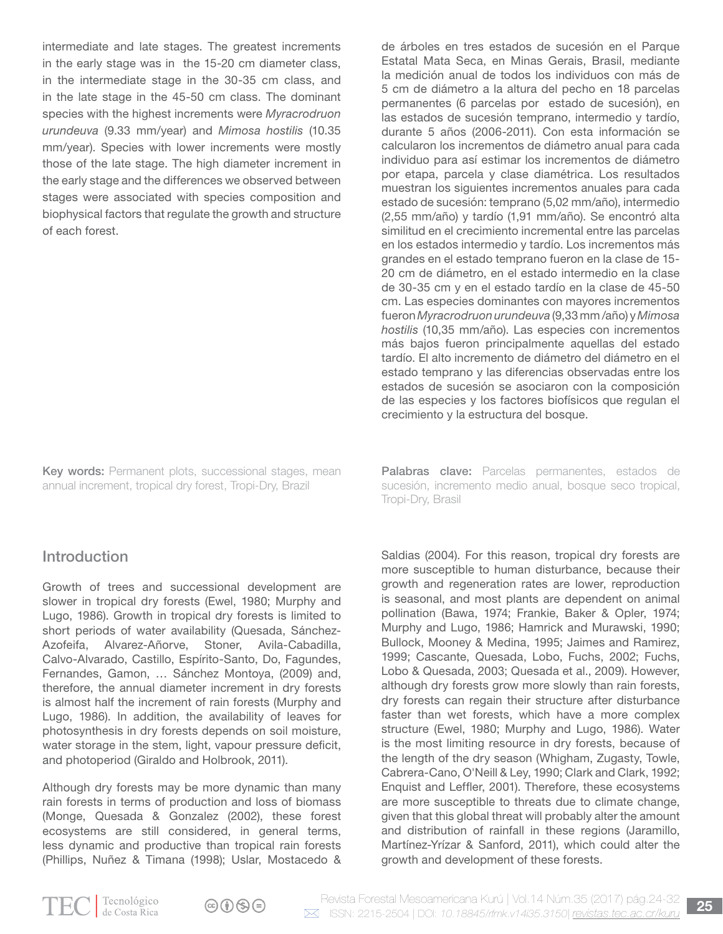intermediate and late stages. The greatest increments in the early stage was in the 15-20 cm diameter class, in the intermediate stage in the 30-35 cm class, and in the late stage in the 45-50 cm class. The dominant species with the highest increments were *Myracrodruon urundeuva* (9.33 mm/year) and *Mimosa hostilis* (10.35 mm/year). Species with lower increments were mostly those of the late stage. The high diameter increment in the early stage and the differences we observed between stages were associated with species composition and biophysical factors that regulate the growth and structure of each forest.

Key words: Permanent plots, successional stages, mean annual increment, tropical dry forest, Tropi-Dry, Brazil

# Introduction

Growth of trees and successional development are slower in tropical dry forests (Ewel, 1980; Murphy and Lugo, 1986). Growth in tropical dry forests is limited to short periods of water availability (Quesada, Sánchez-Azofeifa, Alvarez-Añorve, Stoner, Avila-Cabadilla, Calvo-Alvarado, Castillo, Espírito-Santo, Do, Fagundes, Fernandes, Gamon, … Sánchez Montoya, (2009) and, therefore, the annual diameter increment in dry forests is almost half the increment of rain forests (Murphy and Lugo, 1986). In addition, the availability of leaves for photosynthesis in dry forests depends on soil moisture, water storage in the stem, light, vapour pressure deficit, and photoperiod (Giraldo and Holbrook, 2011).

Although dry forests may be more dynamic than many rain forests in terms of production and loss of biomass (Monge, Quesada & Gonzalez (2002), these forest ecosystems are still considered, in general terms, less dynamic and productive than tropical rain forests (Phillips, Nuñez & Timana (1998); Uslar, Mostacedo & de árboles en tres estados de sucesión en el Parque Estatal Mata Seca, en Minas Gerais, Brasil, mediante la medición anual de todos los individuos con más de 5 cm de diámetro a la altura del pecho en 18 parcelas permanentes (6 parcelas por estado de sucesión), en las estados de sucesión temprano, intermedio y tardío, durante 5 años (2006-2011). Con esta información se calcularon los incrementos de diámetro anual para cada individuo para así estimar los incrementos de diámetro por etapa, parcela y clase diamétrica. Los resultados muestran los siguientes incrementos anuales para cada estado de sucesión: temprano (5,02 mm/año), intermedio (2,55 mm/año) y tardío (1,91 mm/año). Se encontró alta similitud en el crecimiento incremental entre las parcelas en los estados intermedio y tardío. Los incrementos más grandes en el estado temprano fueron en la clase de 15- 20 cm de diámetro, en el estado intermedio en la clase de 30-35 cm y en el estado tardío en la clase de 45-50 cm. Las especies dominantes con mayores incrementos fueron *Myracrodruon urundeuva* (9,33 mm /año) y *Mimosa hostilis* (10,35 mm/año). Las especies con incrementos más bajos fueron principalmente aquellas del estado tardío. El alto incremento de diámetro del diámetro en el estado temprano y las diferencias observadas entre los estados de sucesión se asociaron con la composición de las especies y los factores biofísicos que regulan el crecimiento y la estructura del bosque.

Palabras clave: Parcelas permanentes, estados de sucesión, incremento medio anual, bosque seco tropical, Tropi-Dry, Brasil

Saldias (2004). For this reason, tropical dry forests are more susceptible to human disturbance, because their growth and regeneration rates are lower, reproduction is seasonal, and most plants are dependent on animal pollination (Bawa, 1974; Frankie, Baker & Opler, 1974; Murphy and Lugo, 1986; Hamrick and Murawski, 1990; Bullock, Mooney & Medina, 1995; Jaimes and Ramirez, 1999; Cascante, Quesada, Lobo, Fuchs, 2002; Fuchs, Lobo & Quesada, 2003; Quesada et al., 2009). However, although dry forests grow more slowly than rain forests, dry forests can regain their structure after disturbance faster than wet forests, which have a more complex structure (Ewel, 1980; Murphy and Lugo, 1986). Water is the most limiting resource in dry forests, because of the length of the dry season (Whigham, Zugasty, Towle, Cabrera-Cano, O'Neill & Ley, 1990; Clark and Clark, 1992; Enquist and Leffler, 2001). Therefore, these ecosystems are more susceptible to threats due to climate change, given that this global threat will probably alter the amount and distribution of rainfall in these regions (Jaramillo, Martínez-Yrízar & Sanford, 2011), which could alter the growth and development of these forests.



 $\textcircled{r}$   $\textcircled{r}$   $\textcircled{r}$   $\textcircled{r}$ 

Revista Forestal Mesoamericana Kurú | Vol.14 Núm.35 (2017) pág.24-32 **25** ISSN: 2215-2504 | DOI: *10.18845/rfmk.v14i35.3150*| *revistas.tec.ac.cr/kuru*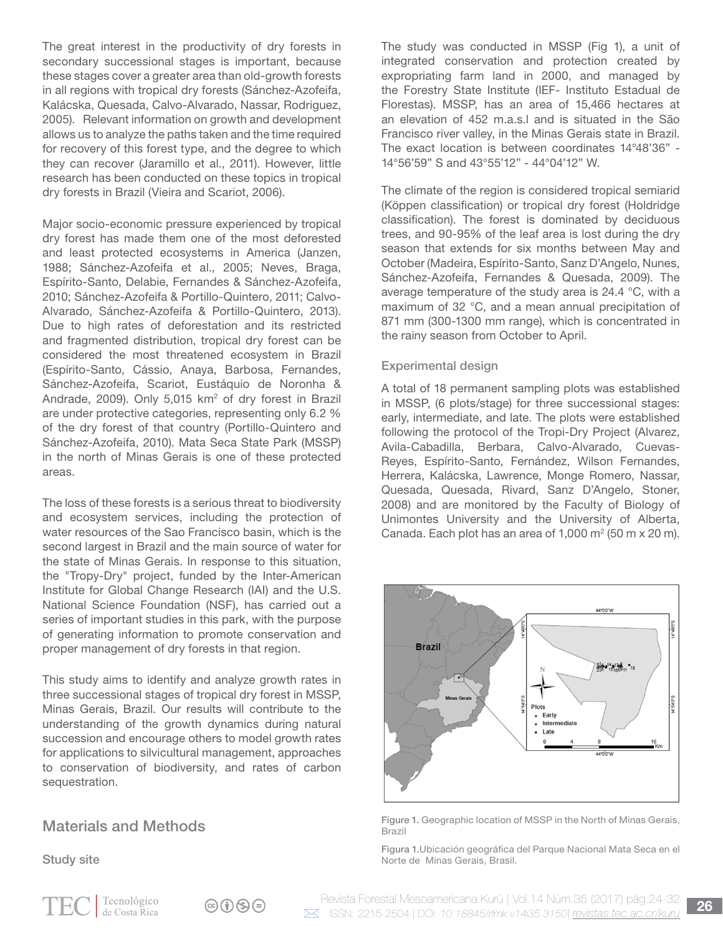The great interest in the productivity of dry forests in secondary successional stages is important, because these stages cover a greater area than old-growth forests in all regions with tropical dry forests (Sánchez-Azofeifa, Kalácska, Quesada, Calvo-Alvarado, Nassar, Rodriguez, 2005). Relevant information on growth and development allows us to analyze the paths taken and the time required for recovery of this forest type, and the degree to which they can recover (Jaramillo et al., 2011). However, little research has been conducted on these topics in tropical dry forests in Brazil (Vieira and Scariot, 2006).

Major socio-economic pressure experienced by tropical dry forest has made them one of the most deforested and least protected ecosystems in America (Janzen, 1988; Sánchez-Azofeifa et al., 2005; Neves, Braga, Espírito-Santo, Delabie, Fernandes & Sánchez-Azofeifa, 2010; Sánchez-Azofeifa & Portillo-Quintero, 2011; Calvo-Alvarado, Sánchez-Azofeifa & Portillo-Quintero, 2013). Due to high rates of deforestation and its restricted and fragmented distribution, tropical dry forest can be considered the most threatened ecosystem in Brazil (Espírito-Santo, Cássio, Anaya, Barbosa, Fernandes, Sánchez-Azofeifa, Scariot, Eustáquio de Noronha & Andrade, 2009). Only 5,015 km<sup>2</sup> of dry forest in Brazil are under protective categories, representing only 6.2 % of the dry forest of that country (Portillo-Quintero and Sánchez-Azofeifa, 2010). Mata Seca State Park (MSSP) in the north of Minas Gerais is one of these protected areas.

The loss of these forests is a serious threat to biodiversity and ecosystem services, including the protection of water resources of the Sao Francisco basin, which is the second largest in Brazil and the main source of water for the state of Minas Gerais. In response to this situation, the "Tropy-Dry" project, funded by the Inter-American Institute for Global Change Research (IAI) and the U.S. National Science Foundation (NSF), has carried out a series of important studies in this park, with the purpose of generating information to promote conservation and proper management of dry forests in that region.

This study aims to identify and analyze growth rates in three successional stages of tropical dry forest in MSSP, Minas Gerais, Brazil. Our results will contribute to the understanding of the growth dynamics during natural succession and encourage others to model growth rates for applications to silvicultural management, approaches to conservation of biodiversity, and rates of carbon sequestration.

# Materials and Methods

Study site

The study was conducted in MSSP (Fig 1), a unit of integrated conservation and protection created by expropriating farm land in 2000, and managed by the Forestry State Institute (IEF- Instituto Estadual de Florestas). MSSP, has an area of 15,466 hectares at an elevation of 452 m.a.s.l and is situated in the São Francisco river valley, in the Minas Gerais state in Brazil. The exact location is between coordinates 14°48'36" - 14°56'59" S and 43°55'12" - 44°04'12" W.

The climate of the region is considered tropical semiarid (Köppen classification) or tropical dry forest (Holdridge classification). The forest is dominated by deciduous trees, and 90-95% of the leaf area is lost during the dry season that extends for six months between May and October (Madeira, Espírito-Santo, Sanz D'Angelo, Nunes, Sánchez-Azofeifa, Fernandes & Quesada, 2009). The average temperature of the study area is 24.4 °C, with a maximum of 32 °C, and a mean annual precipitation of 871 mm (300-1300 mm range), which is concentrated in the rainy season from October to April.

#### Experimental design

A total of 18 permanent sampling plots was established in MSSP, (6 plots/stage) for three successional stages: early, intermediate, and late. The plots were established following the protocol of the Tropi-Dry Project (Alvarez, Avila-Cabadilla, Berbara, Calvo-Alvarado, Cuevas-Reyes, Espírito-Santo, Fernández, Wilson Fernandes, Herrera, Kalácska, Lawrence, Monge Romero, Nassar, Quesada, Quesada, Rivard, Sanz D'Angelo, Stoner, 2008) and are monitored by the Faculty of Biology of Unimontes University and the University of Alberta, Canada. Each plot has an area of  $1,000$  m<sup>2</sup> (50 m x 20 m).



Figure 1. Geographic location of MSSP in the North of Minas Gerais, Brazil

Figura 1.Ubicación geográfica del Parque Nacional Mata Seca en el Norte de Minas Gerais, Brasil.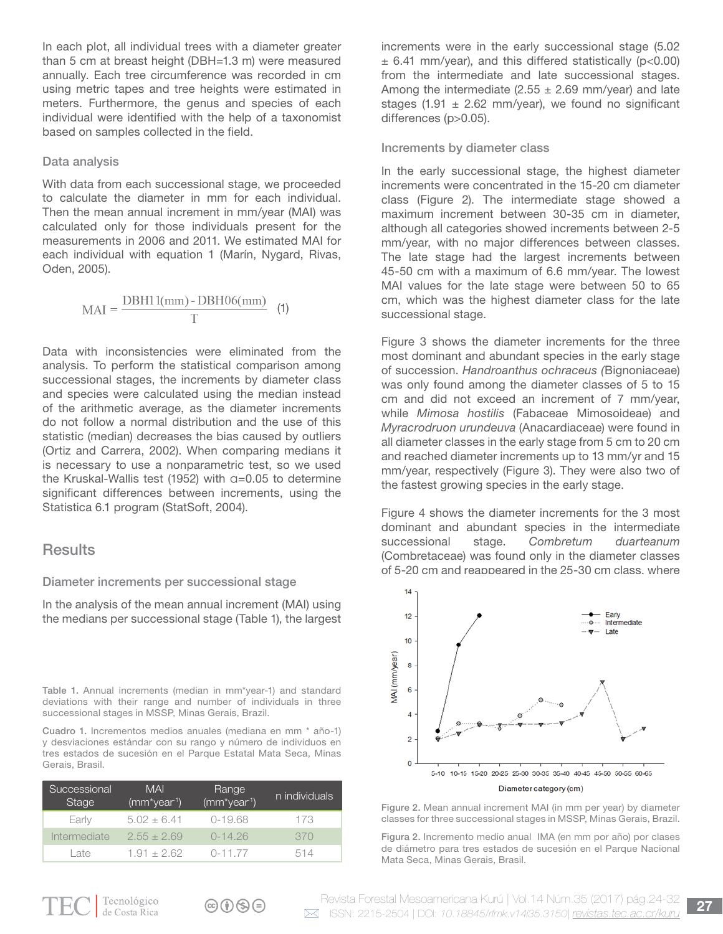In each plot, all individual trees with a diameter greater than 5 cm at breast height (DBH=1.3 m) were measured annually. Each tree circumference was recorded in cm using metric tapes and tree heights were estimated in meters. Furthermore, the genus and species of each individual were identified with the help of a taxonomist based on samples collected in the field.

#### Data analysis

With data from each successional stage, we proceeded to calculate the diameter in mm for each individual. Then the mean annual increment in mm/year (MAI) was calculated only for those individuals present for the measurements in 2006 and 2011. We estimated MAI for each individual with equation 1 (Marín, Nygard, Rivas, Oden, 2005).

$$
MAI = \frac{DBH11(mm) - DBH06(mm)}{T}
$$
 (1)

Data with inconsistencies were eliminated from the analysis. To perform the statistical comparison among successional stages, the increments by diameter class and species were calculated using the median instead of the arithmetic average, as the diameter increments do not follow a normal distribution and the use of this statistic (median) decreases the bias caused by outliers (Ortiz and Carrera, 2002). When comparing medians it is necessary to use a nonparametric test, so we used the Kruskal-Wallis test (1952) with  $a=0.05$  to determine significant differences between increments, using the Statistica 6.1 program (StatSoft, 2004).

## **Results**

#### Diameter increments per successional stage

In the analysis of the mean annual increment (MAI) using the medians per successional stage (Table 1), the largest

Table 1. Annual increments (median in mm\*year-1) and standard deviations with their range and number of individuals in three successional stages in MSSP, Minas Gerais, Brazil.

Cuadro 1. Incrementos medios anuales (mediana en mm \* año-1) y desviaciones estándar con su rango y número de individuos en tres estados de sucesión en el Parque Estatal Mata Seca, Minas Gerais, Brasil.

| Successional<br><b>Stage</b> | <b>MAI</b><br>$(mm^*year^1)$ | Range<br>$(mm^*year1)$ | n individuals |
|------------------------------|------------------------------|------------------------|---------------|
| Early                        | $5.02 \pm 6.41$              | $0-19.68$              | 173           |
| Intermediate                 | $2.55 + 2.69$                | $0-14.26$              | 370           |
| l ate                        | $1.91 + 2.62$                | $0 - 11.77$            | 514           |

increments were in the early successional stage (5.02  $\pm$  6.41 mm/year), and this differed statistically (p<0.00) from the intermediate and late successional stages. Among the intermediate  $(2.55 \pm 2.69 \text{ mm/year})$  and late stages (1.91  $\pm$  2.62 mm/year), we found no significant differences (p>0.05).

#### Increments by diameter class

In the early successional stage, the highest diameter increments were concentrated in the 15-20 cm diameter class (Figure 2). The intermediate stage showed a maximum increment between 30-35 cm in diameter, although all categories showed increments between 2-5 mm/year, with no major differences between classes. The late stage had the largest increments between 45-50 cm with a maximum of 6.6 mm/year. The lowest MAI values for the late stage were between 50 to 65 cm, which was the highest diameter class for the late successional stage.

Figure 3 shows the diameter increments for the three most dominant and abundant species in the early stage of succession. *Handroanthus ochraceus (*Bignoniaceae) was only found among the diameter classes of 5 to 15 cm and did not exceed an increment of 7 mm/year, while *Mimosa hostilis* (Fabaceae Mimosoideae) and *Myracrodruon urundeuva* (Anacardiaceae) were found in all diameter classes in the early stage from 5 cm to 20 cm and reached diameter increments up to 13 mm/yr and 15 mm/year, respectively (Figure 3). They were also two of the fastest growing species in the early stage.

Figure 4 shows the diameter increments for the 3 most dominant and abundant species in the intermediate successional stage. *Combretum duarteanum*  (Combretaceae) was found only in the diameter classes of 5-20 cm and reappeared in the 25-30 cm class, where



Figure 2. Mean annual increment MAI (in mm per year) by diameter classes for three successional stages in MSSP, Minas Gerais, Brazil.

Figura 2. Incremento medio anual IMA (en mm por año) por clases de diámetro para tres estados de sucesión en el Parque Nacional Mata Seca, Minas Gerais, Brasil.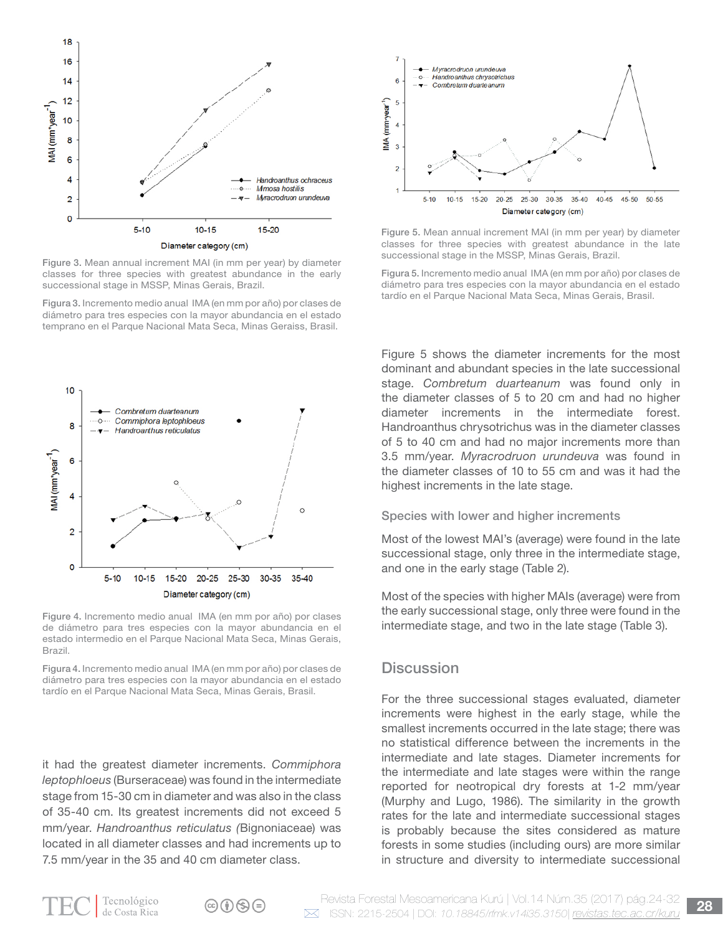

Figure 3. Mean annual increment MAI (in mm per year) by diameter classes for three species with greatest abundance in the early successional stage in MSSP, Minas Gerais, Brazil.

Figura 3. Incremento medio anual IMA (en mm por año) por clases de diámetro para tres especies con la mayor abundancia en el estado temprano en el Parque Nacional Mata Seca, Minas Geraiss, Brasil.



Figure 4. Incremento medio anual IMA (en mm por año) por clases de diámetro para tres especies con la mayor abundancia en el estado intermedio en el Parque Nacional Mata Seca, Minas Gerais, Brazil.

Figura 4. Incremento medio anual IMA (en mm por año) por clases de diámetro para tres especies con la mayor abundancia en el estado tardío en el Parque Nacional Mata Seca, Minas Gerais, Brasil.

it had the greatest diameter increments. *Commiphora leptophloeus* (Burseraceae) was found in the intermediate stage from 15-30 cm in diameter and was also in the class of 35-40 cm. Its greatest increments did not exceed 5 mm/year. *Handroanthus reticulatus (*Bignoniaceae) was located in all diameter classes and had increments up to 7.5 mm/year in the 35 and 40 cm diameter class.



Figure 5. Mean annual increment MAI (in mm per year) by diameter classes for three species with greatest abundance in the late successional stage in the MSSP, Minas Gerais, Brazil.

Figura 5. Incremento medio anual IMA (en mm por año) por clases de diámetro para tres especies con la mayor abundancia en el estado tardío en el Parque Nacional Mata Seca, Minas Gerais, Brasil.

Figure 5 shows the diameter increments for the most dominant and abundant species in the late successional stage. *Combretum duarteanum* was found only in the diameter classes of 5 to 20 cm and had no higher diameter increments in the intermediate forest. Handroanthus chrysotrichus was in the diameter classes of 5 to 40 cm and had no major increments more than 3.5 mm/year. *Myracrodruon urundeuva* was found in the diameter classes of 10 to 55 cm and was it had the highest increments in the late stage.

Species with lower and higher increments

Most of the lowest MAI's (average) were found in the late successional stage, only three in the intermediate stage, and one in the early stage (Table 2).

Most of the species with higher MAIs (average) were from the early successional stage, only three were found in the intermediate stage, and two in the late stage (Table 3).

## **Discussion**

For the three successional stages evaluated, diameter increments were highest in the early stage, while the smallest increments occurred in the late stage; there was no statistical difference between the increments in the intermediate and late stages. Diameter increments for the intermediate and late stages were within the range reported for neotropical dry forests at 1-2 mm/year (Murphy and Lugo, 1986). The similarity in the growth rates for the late and intermediate successional stages is probably because the sites considered as mature forests in some studies (including ours) are more similar in structure and diversity to intermediate successional

 $\circledcirc$  (i)  $\circledcirc$   $\circledcirc$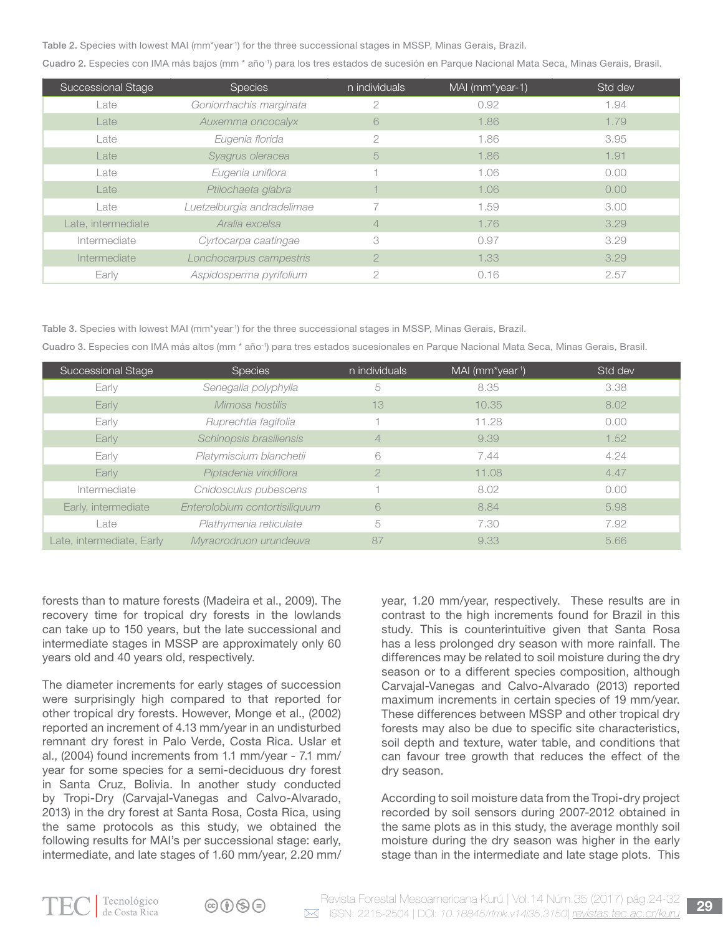Table 2. Species with lowest MAI (mm\*year<sup>1</sup>) for the three successional stages in MSSP, Minas Gerais, Brazil.

Cuadro 2. Especies con IMA más bajos (mm \* año-1) para los tres estados de sucesión en Parque Nacional Mata Seca, Minas Gerais, Brasil.

| Successional Stage | <b>Species</b>             | n individuals  | MAI (mm*year-1) | Std dev |
|--------------------|----------------------------|----------------|-----------------|---------|
| Late               | Goniorrhachis marginata    | 2              | 0.92            | 1.94    |
| Late               | Auxemma oncocalyx          | 6              | 1.86            | 1.79    |
| Late               | Eugenia florida            | 2              | 1.86            | 3.95    |
| Late               | Syagrus oleracea           | 5              | 1.86            | 1.91    |
| Late               | Eugenia uniflora           |                | 1.06            | 0.00    |
| Late               | Ptilochaeta glabra         |                | 1.06            | 0.00    |
| Late               | Luetzelburgia andradelimae |                | 1.59            | 3.00    |
| Late, intermediate | Aralia excelsa             | 4              | 1.76            | 3.29    |
| Intermediate       | Cyrtocarpa caatingae       | 3              | 0.97            | 3.29    |
| Intermediate       | Lonchocarpus campestris    | $\overline{2}$ | 1.33            | 3.29    |
| Early              | Aspidosperma pyrifolium    | $\overline{2}$ | 0.16            | 2.57    |

Table 3. Species with lowest MAI (mm\*year<sup>1</sup>) for the three successional stages in MSSP, Minas Gerais, Brazil.

Cuadro 3. Especies con IMA más altos (mm \* año-1) para tres estados sucesionales en Parque Nacional Mata Seca, Minas Gerais, Brasil.

| Successional Stage        | <b>Species</b>                | n individuals  | MAI (mm*year1) | Std dev |
|---------------------------|-------------------------------|----------------|----------------|---------|
| Early                     | Senegalia polyphylla          | 5              | 8.35           | 3.38    |
| Early                     | Mimosa hostilis               | 13             | 10.35          | 8.02    |
| Early                     | Ruprechtia fagifolia          |                | 11.28          | 0.00    |
| Early                     | Schinopsis brasiliensis       | $\overline{4}$ | 9.39           | 1.52    |
| Early                     | Platymiscium blanchetii       | 6              | 7.44           | 4.24    |
| Early                     | Piptadenia viridiflora        | 2              | 11.08          | 4.47    |
| Intermediate              | Cnidosculus pubescens         |                | 8.02           | 0.00    |
| Early, intermediate       | Enterolobium contortisiliquum | 6              | 8.84           | 5.98    |
| Late                      | Plathymenia reticulate        | 5              | 7.30           | 7.92    |
| Late, intermediate, Early | Myracrodruon urundeuva        | 87             | 9.33           | 5.66    |

forests than to mature forests (Madeira et al., 2009). The recovery time for tropical dry forests in the lowlands can take up to 150 years, but the late successional and intermediate stages in MSSP are approximately only 60 years old and 40 years old, respectively.

The diameter increments for early stages of succession were surprisingly high compared to that reported for other tropical dry forests. However, Monge et al., (2002) reported an increment of 4.13 mm/year in an undisturbed remnant dry forest in Palo Verde, Costa Rica. Uslar et al., (2004) found increments from 1.1 mm/year - 7.1 mm/ year for some species for a semi-deciduous dry forest in Santa Cruz, Bolivia. In another study conducted by Tropi-Dry (Carvajal-Vanegas and Calvo-Alvarado, 2013) in the dry forest at Santa Rosa, Costa Rica, using the same protocols as this study, we obtained the following results for MAI's per successional stage: early, intermediate, and late stages of 1.60 mm/year, 2.20 mm/

year, 1.20 mm/year, respectively. These results are in contrast to the high increments found for Brazil in this study. This is counterintuitive given that Santa Rosa has a less prolonged dry season with more rainfall. The differences may be related to soil moisture during the dry season or to a different species composition, although Carvajal-Vanegas and Calvo-Alvarado (2013) reported maximum increments in certain species of 19 mm/year. These differences between MSSP and other tropical dry forests may also be due to specific site characteristics, soil depth and texture, water table, and conditions that can favour tree growth that reduces the effect of the dry season.

According to soil moisture data from the Tropi-dry project recorded by soil sensors during 2007-2012 obtained in the same plots as in this study, the average monthly soil moisture during the dry season was higher in the early stage than in the intermediate and late stage plots. This

 $\circledcirc$  (i)  $\circledcirc$  (=)

Revista Forestal Mesoamericana Kurú | Vol.14 Núm.35 (2017) pág.24-32 **29** ISSN: 2215-2504 | DOI: *10.18845/rfmk.v14i35.3150*| *revistas.tec.ac.cr/kuru*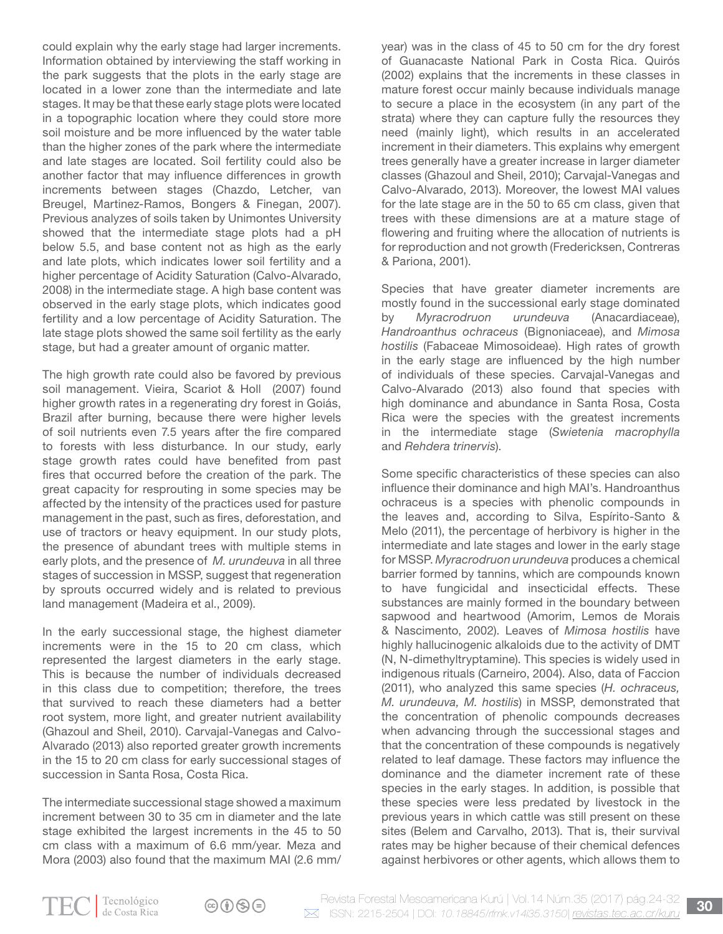could explain why the early stage had larger increments. Information obtained by interviewing the staff working in the park suggests that the plots in the early stage are located in a lower zone than the intermediate and late stages. It may be that these early stage plots were located in a topographic location where they could store more soil moisture and be more influenced by the water table than the higher zones of the park where the intermediate and late stages are located. Soil fertility could also be another factor that may influence differences in growth increments between stages (Chazdo, Letcher, van Breugel, Martinez-Ramos, Bongers & Finegan, 2007). Previous analyzes of soils taken by Unimontes University showed that the intermediate stage plots had a pH below 5.5, and base content not as high as the early and late plots, which indicates lower soil fertility and a higher percentage of Acidity Saturation (Calvo-Alvarado, 2008) in the intermediate stage. A high base content was observed in the early stage plots, which indicates good fertility and a low percentage of Acidity Saturation. The late stage plots showed the same soil fertility as the early stage, but had a greater amount of organic matter.

The high growth rate could also be favored by previous soil management. Vieira, Scariot & Holl (2007) found higher growth rates in a regenerating dry forest in Goiás, Brazil after burning, because there were higher levels of soil nutrients even 7.5 years after the fire compared to forests with less disturbance. In our study, early stage growth rates could have benefited from past fires that occurred before the creation of the park. The great capacity for resprouting in some species may be affected by the intensity of the practices used for pasture management in the past, such as fires, deforestation, and use of tractors or heavy equipment. In our study plots, the presence of abundant trees with multiple stems in early plots, and the presence of *M. urundeuva* in all three stages of succession in MSSP, suggest that regeneration by sprouts occurred widely and is related to previous land management (Madeira et al., 2009).

In the early successional stage, the highest diameter increments were in the 15 to 20 cm class, which represented the largest diameters in the early stage. This is because the number of individuals decreased in this class due to competition; therefore, the trees that survived to reach these diameters had a better root system, more light, and greater nutrient availability (Ghazoul and Sheil, 2010). Carvajal-Vanegas and Calvo-Alvarado (2013) also reported greater growth increments in the 15 to 20 cm class for early successional stages of succession in Santa Rosa, Costa Rica.

The intermediate successional stage showed a maximum increment between 30 to 35 cm in diameter and the late stage exhibited the largest increments in the 45 to 50 cm class with a maximum of 6.6 mm/year. Meza and Mora (2003) also found that the maximum MAI (2.6 mm/ year) was in the class of 45 to 50 cm for the dry forest of Guanacaste National Park in Costa Rica. Quirós (2002) explains that the increments in these classes in mature forest occur mainly because individuals manage to secure a place in the ecosystem (in any part of the strata) where they can capture fully the resources they need (mainly light), which results in an accelerated increment in their diameters. This explains why emergent trees generally have a greater increase in larger diameter classes (Ghazoul and Sheil, 2010); Carvajal-Vanegas and Calvo-Alvarado, 2013). Moreover, the lowest MAI values for the late stage are in the 50 to 65 cm class, given that trees with these dimensions are at a mature stage of flowering and fruiting where the allocation of nutrients is for reproduction and not growth (Fredericksen, Contreras & Pariona, 2001).

Species that have greater diameter increments are mostly found in the successional early stage dominated by *Myracrodruon urundeuva* (Anacardiaceae), *Handroanthus ochraceus* (Bignoniaceae), and *Mimosa hostilis* (Fabaceae Mimosoideae). High rates of growth in the early stage are influenced by the high number of individuals of these species. Carvajal-Vanegas and Calvo-Alvarado (2013) also found that species with high dominance and abundance in Santa Rosa, Costa Rica were the species with the greatest increments in the intermediate stage (*Swietenia macrophylla*  and *Rehdera trinervis*).

Some specific characteristics of these species can also influence their dominance and high MAI's. Handroanthus ochraceus is a species with phenolic compounds in the leaves and, according to Silva, Espírito-Santo & Melo (2011), the percentage of herbivory is higher in the intermediate and late stages and lower in the early stage for MSSP. *Myracrodruon urundeuva* produces a chemical barrier formed by tannins, which are compounds known to have fungicidal and insecticidal effects. These substances are mainly formed in the boundary between sapwood and heartwood (Amorim, Lemos de Morais & Nascimento, 2002). Leaves of *Mimosa hostilis* have highly hallucinogenic alkaloids due to the activity of DMT (N, N-dimethyltryptamine). This species is widely used in indigenous rituals (Carneiro, 2004). Also, data of Faccion (2011), who analyzed this same species (*H. ochraceus, M. urundeuva, M. hostilis*) in MSSP, demonstrated that the concentration of phenolic compounds decreases when advancing through the successional stages and that the concentration of these compounds is negatively related to leaf damage. These factors may influence the dominance and the diameter increment rate of these species in the early stages. In addition, is possible that these species were less predated by livestock in the previous years in which cattle was still present on these sites (Belem and Carvalho, 2013). That is, their survival rates may be higher because of their chemical defences against herbivores or other agents, which allows them to

 $\textcircled{r}$   $\textcircled{r}$   $\textcircled{r}$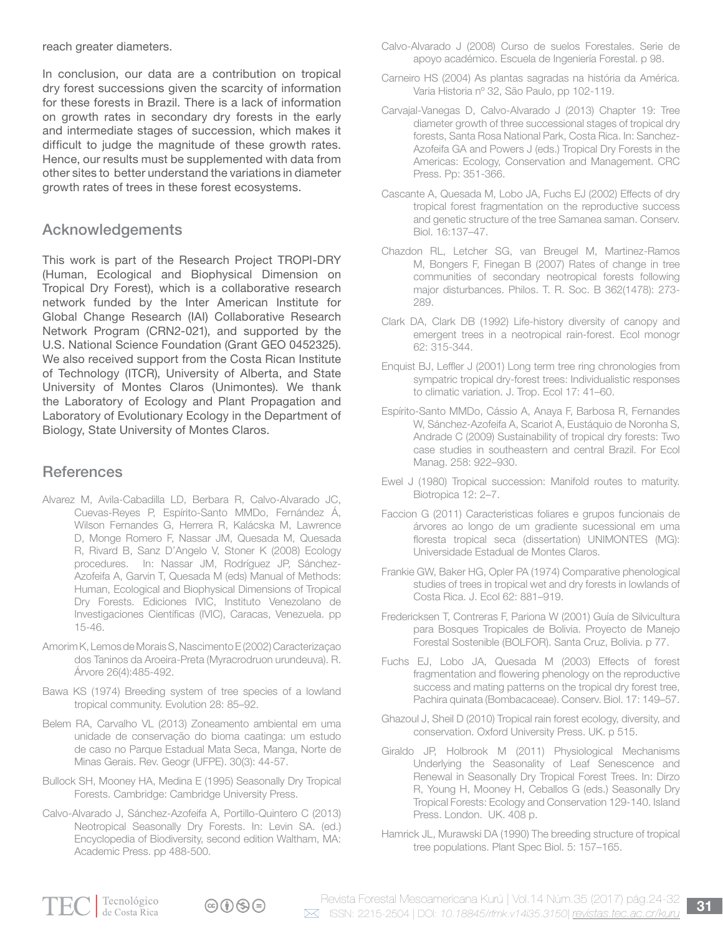reach greater diameters.

In conclusion, our data are a contribution on tropical dry forest successions given the scarcity of information for these forests in Brazil. There is a lack of information on growth rates in secondary dry forests in the early and intermediate stages of succession, which makes it difficult to judge the magnitude of these growth rates. Hence, our results must be supplemented with data from other sites to better understand the variations in diameter growth rates of trees in these forest ecosystems.

## Acknowledgements

This work is part of the Research Project TROPI-DRY (Human, Ecological and Biophysical Dimension on Tropical Dry Forest), which is a collaborative research network funded by the Inter American Institute for Global Change Research (IAI) Collaborative Research Network Program (CRN2-021), and supported by the U.S. National Science Foundation (Grant GEO 0452325). We also received support from the Costa Rican Institute of Technology (ITCR), University of Alberta, and State University of Montes Claros (Unimontes). We thank the Laboratory of Ecology and Plant Propagation and Laboratory of Evolutionary Ecology in the Department of Biology, State University of Montes Claros.

# **References**

- Alvarez M, Avila-Cabadilla LD, Berbara R, Calvo-Alvarado JC, Cuevas-Reyes P, Espírito-Santo MMDo, Fernández Á, Wilson Fernandes G, Herrera R, Kalácska M, Lawrence D, Monge Romero F, Nassar JM, Quesada M, Quesada R, Rivard B, Sanz D'Angelo V, Stoner K (2008) Ecology procedures. In: Nassar JM, Rodríguez JP, Sánchez-Azofeifa A, Garvin T, Quesada M (eds) Manual of Methods: Human, Ecological and Biophysical Dimensions of Tropical Dry Forests. Ediciones IVIC, Instituto Venezolano de Investigaciones Científicas (IVIC), Caracas, Venezuela. pp 15-46.
- Amorim K, Lemos de Morais S, Nascimento E (2002) Caracterizaçao dos Taninos da Aroeira-Preta (Myracrodruon urundeuva). R. Árvore 26(4):485-492.
- Bawa KS (1974) Breeding system of tree species of a lowland tropical community. Evolution 28: 85–92.
- Belem RA, Carvalho VL (2013) Zoneamento ambiental em uma unidade de conservação do bioma caatinga: um estudo de caso no Parque Estadual Mata Seca, Manga, Norte de Minas Gerais. Rev. Geogr (UFPE). 30(3): 44-57.
- Bullock SH, Mooney HA, Medina E (1995) Seasonally Dry Tropical Forests. Cambridge: Cambridge University Press.
- Calvo-Alvarado J, Sánchez-Azofeifa A, Portillo-Quintero C (2013) Neotropical Seasonally Dry Forests. In: Levin SA. (ed.) Encyclopedia of Biodiversity, second edition Waltham, MA: Academic Press. pp 488-500.
- Calvo-Alvarado J (2008) Curso de suelos Forestales. Serie de apoyo académico. Escuela de Ingeniería Forestal. p 98.
- Carneiro HS (2004) As plantas sagradas na história da América. Varia Historia nº 32, São Paulo, pp 102-119.
- Carvajal-Vanegas D, Calvo-Alvarado J (2013) Chapter 19: Tree diameter growth of three successional stages of tropical dry forests, Santa Rosa National Park, Costa Rica. In: Sanchez-Azofeifa GA and Powers J (eds.) Tropical Dry Forests in the Americas: Ecology, Conservation and Management. CRC Press. Pp: 351-366.
- Cascante A, Quesada M, Lobo JA, Fuchs EJ (2002) Effects of dry tropical forest fragmentation on the reproductive success and genetic structure of the tree Samanea saman. Conserv. Biol. 16:137–47.
- Chazdon RL, Letcher SG, van Breugel M, Martinez-Ramos M, Bongers F, Finegan B (2007) Rates of change in tree communities of secondary neotropical forests following major disturbances. Philos. T. R. Soc. B 362(1478): 273- 289.
- Clark DA, Clark DB (1992) Life-history diversity of canopy and emergent trees in a neotropical rain-forest. Ecol monogr 62: 315-344.
- Enquist BJ, Leffler J (2001) Long term tree ring chronologies from sympatric tropical dry-forest trees: Individualistic responses to climatic variation. J. Trop. Ecol 17: 41–60.
- Espírito-Santo MMDo, Cássio A, Anaya F, Barbosa R, Fernandes W, Sánchez-Azofeifa A, Scariot A, Eustáquio de Noronha S, Andrade C (2009) Sustainability of tropical dry forests: Two case studies in southeastern and central Brazil. For Ecol Manag. 258: 922–930.
- Ewel J (1980) Tropical succession: Manifold routes to maturity. Biotropica 12: 2–7.
- Faccion G (2011) Caracteristicas foliares e grupos funcionais de árvores ao longo de um gradiente sucessional em uma floresta tropical seca (dissertation) UNIMONTES (MG): Universidade Estadual de Montes Claros.
- Frankie GW, Baker HG, Opler PA (1974) Comparative phenological studies of trees in tropical wet and dry forests in lowlands of Costa Rica. J. Ecol 62: 881–919.
- Fredericksen T, Contreras F, Pariona W (2001) Guía de Silvicultura para Bosques Tropicales de Bolivia. Proyecto de Manejo Forestal Sostenible (BOLFOR). Santa Cruz, Bolivia. p 77.
- Fuchs EJ, Lobo JA, Quesada M (2003) Effects of forest fragmentation and flowering phenology on the reproductive success and mating patterns on the tropical dry forest tree, Pachira quinata (Bombacaceae). Conserv. Biol. 17: 149–57.
- Ghazoul J, Sheil D (2010) Tropical rain forest ecology, diversity, and conservation. Oxford University Press. UK. p 515.
- Giraldo JP, Holbrook M (2011) Physiological Mechanisms Underlying the Seasonality of Leaf Senescence and Renewal in Seasonally Dry Tropical Forest Trees. In: Dirzo R, Young H, Mooney H, Ceballos G (eds.) Seasonally Dry Tropical Forests: Ecology and Conservation 129-140. Island Press. London. UK. 408 p.
- Hamrick JL, Murawski DA (1990) The breeding structure of tropical tree populations. Plant Spec Biol. 5: 157–165.